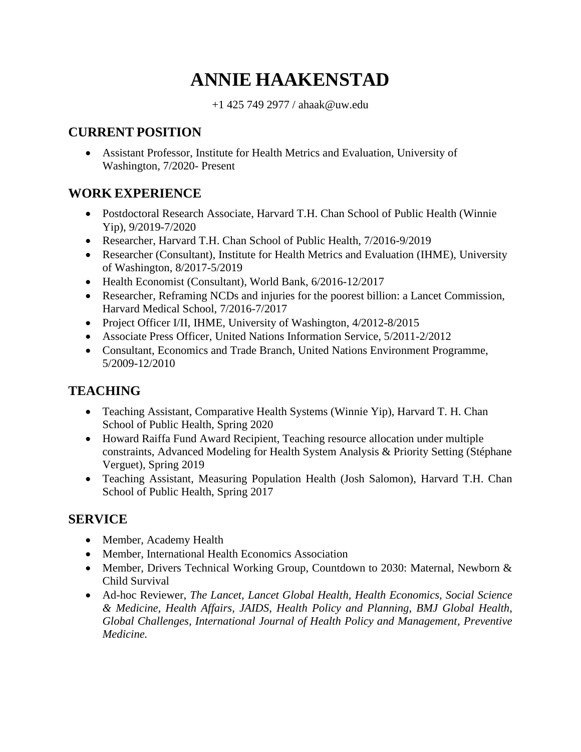# **ANNIE HAAKENSTAD**

+1 425 749 2977 / ahaak@uw.edu

# **CURRENT POSITION**

• Assistant Professor, Institute for Health Metrics and Evaluation, University of Washington, 7/2020- Present

# **WORK EXPERIENCE**

- Postdoctoral Research Associate, Harvard T.H. Chan School of Public Health (Winnie Yip), 9/2019-7/2020
- Researcher, Harvard T.H. Chan School of Public Health, 7/2016-9/2019
- Researcher (Consultant), Institute for Health Metrics and Evaluation (IHME), University of Washington, 8/2017-5/2019
- Health Economist (Consultant), World Bank, 6/2016-12/2017
- Researcher, Reframing NCDs and injuries for the poorest billion: a Lancet Commission, Harvard Medical School, 7/2016-7/2017
- Project Officer I/II, IHME, University of Washington, 4/2012-8/2015
- Associate Press Officer, United Nations Information Service, 5/2011-2/2012
- Consultant, Economics and Trade Branch, United Nations Environment Programme, 5/2009-12/2010

# **TEACHING**

- Teaching Assistant, Comparative Health Systems (Winnie Yip), Harvard T. H. Chan School of Public Health, Spring 2020
- Howard Raiffa Fund Award Recipient, Teaching resource allocation under multiple constraints, Advanced Modeling for Health System Analysis & Priority Setting (Stéphane Verguet), Spring 2019
- Teaching Assistant, Measuring Population Health (Josh Salomon), Harvard T.H. Chan School of Public Health, Spring 2017

# **SERVICE**

- Member, Academy Health
- Member, International Health Economics Association
- Member, Drivers Technical Working Group, Countdown to 2030: Maternal, Newborn & Child Survival
- Ad-hoc Reviewer, *The Lancet, Lancet Global Health, Health Economics, Social Science & Medicine, Health Affairs, JAIDS, Health Policy and Planning*, *BMJ Global Health, Global Challenges, International Journal of Health Policy and Management, Preventive Medicine.*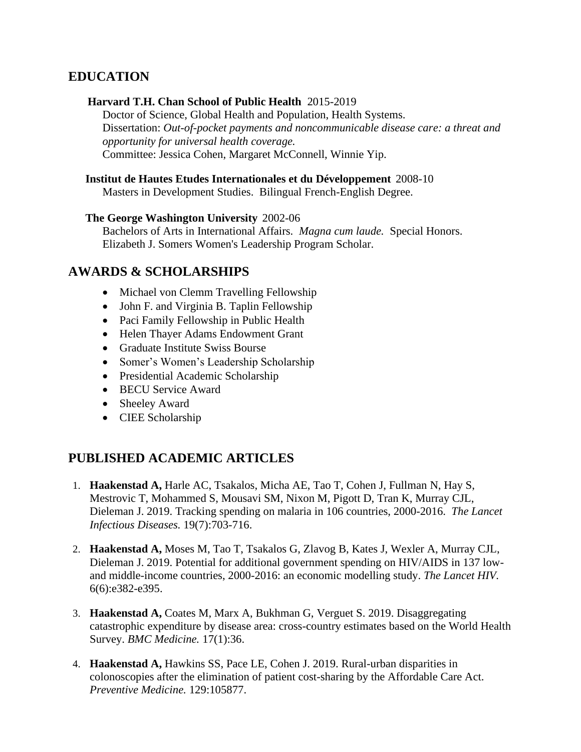## **EDUCATION**

#### **Harvard T.H. Chan School of Public Health** 2015-2019

Doctor of Science, Global Health and Population, Health Systems. Dissertation: *Out-of-pocket payments and noncommunicable disease care: a threat and opportunity for universal health coverage.* Committee: Jessica Cohen, Margaret McConnell, Winnie Yip.

#### **Institut de Hautes Etudes Internationales et du Développement** 2008-10

Masters in Development Studies. Bilingual French-English Degree.

#### **The George Washington University** 2002-06

Bachelors of Arts in International Affairs. *Magna cum laude.* Special Honors. Elizabeth J. Somers Women's Leadership Program Scholar.

### **AWARDS & SCHOLARSHIPS**

- Michael von Clemm Travelling Fellowship
- John F. and Virginia B. Taplin Fellowship
- Paci Family Fellowship in Public Health
- Helen Thayer Adams Endowment Grant
- Graduate Institute Swiss Bourse
- Somer's Women's Leadership Scholarship
- Presidential Academic Scholarship
- BECU Service Award
- Sheeley Award
- CIEE Scholarship

## **PUBLISHED ACADEMIC ARTICLES**

- 1. **Haakenstad A,** Harle AC, Tsakalos, Micha AE, Tao T, Cohen J, Fullman N, Hay S, Mestrovic T, Mohammed S, Mousavi SM, Nixon M, Pigott D, Tran K, Murray CJL, Dieleman J. 2019. Tracking spending on malaria in 106 countries, 2000-2016. *The Lancet Infectious Diseases.* 19(7):703-716.
- 2. **Haakenstad A,** Moses M, Tao T, Tsakalos G, Zlavog B, Kates J, Wexler A, Murray CJL, Dieleman J. 2019. Potential for additional government spending on HIV/AIDS in 137 lowand middle-income countries, 2000-2016: an economic modelling study. *The Lancet HIV.* 6(6):e382-e395.
- 3. **Haakenstad A,** Coates M, Marx A, Bukhman G, Verguet S. 2019. Disaggregating catastrophic expenditure by disease area: cross-country estimates based on the World Health Survey. *BMC Medicine.* 17(1):36.
- 4. **Haakenstad A,** Hawkins SS, Pace LE, Cohen J. 2019. Rural-urban disparities in colonoscopies after the elimination of patient cost-sharing by the Affordable Care Act. *Preventive Medicine.* 129:105877.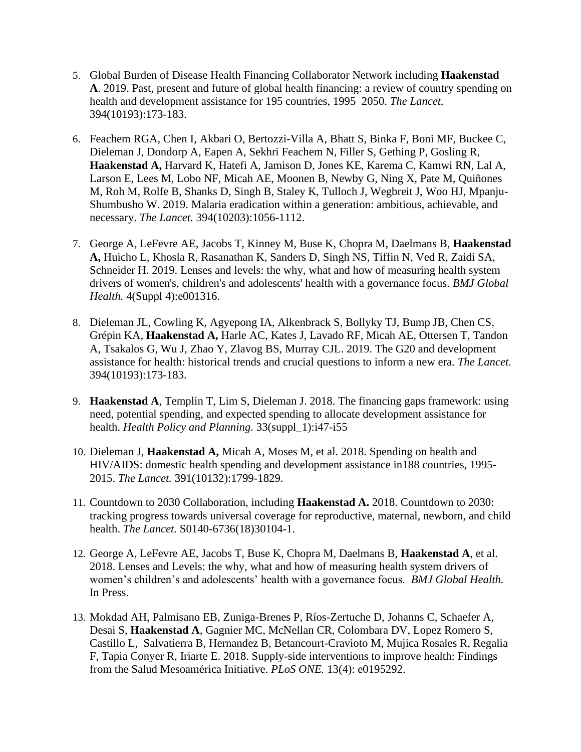- 5. Global Burden of Disease Health Financing Collaborator Network including **Haakenstad A**. 2019. Past, present and future of global health financing: a review of country spending on health and development assistance for 195 countries, 1995–2050. *The Lancet.* 394(10193):173-183.
- 6. Feachem RGA, Chen I, Akbari O, Bertozzi-Villa A, Bhatt S, Binka F, Boni MF, Buckee C, Dieleman J, Dondorp A, Eapen A, Sekhri Feachem N, Filler S, Gething P, Gosling R, **Haakenstad A,** Harvard K, Hatefi A, Jamison D, Jones KE, Karema C, Kamwi RN, Lal A, Larson E, Lees M, Lobo NF, Micah AE, Moonen B, Newby G, Ning X, Pate M, Quiñones M, Roh M, Rolfe B, Shanks D, Singh B, Staley K, Tulloch J, Wegbreit J, Woo HJ, Mpanju-Shumbusho W. 2019. Malaria eradication within a generation: ambitious, achievable, and necessary. *The Lancet.* 394(10203):1056-1112.
- 7. George A, LeFevre AE, Jacobs T, Kinney M, Buse K, Chopra M, Daelmans B, **Haakenstad A,** Huicho L, Khosla R, Rasanathan K, Sanders D, Singh NS, Tiffin N, Ved R, Zaidi SA, Schneider H. 2019. Lenses and levels: the why, what and how of measuring health system drivers of women's, children's and adolescents' health with a governance focus. *BMJ Global Health.* 4(Suppl 4):e001316.
- 8. Dieleman JL, Cowling K, Agyepong IA, Alkenbrack S, Bollyky TJ, Bump JB, Chen CS, Grépin KA, **Haakenstad A,** Harle AC, Kates J, Lavado RF, Micah AE, Ottersen T, Tandon A, Tsakalos G, Wu J, Zhao Y, Zlavog BS, Murray CJL. 2019. The G20 and development assistance for health: historical trends and crucial questions to inform a new era. *The Lancet.* 394(10193):173-183.
- 9. **Haakenstad A**, Templin T, Lim S, Dieleman J. 2018. The financing gaps framework: using need, potential spending, and expected spending to allocate development assistance for health. *Health Policy and Planning.* 33(suppl\_1):i47-i55
- 10. Dieleman J, **Haakenstad A,** Micah A, Moses M, et al. 2018. Spending on health and HIV/AIDS: domestic health spending and development assistance in188 countries, 1995- 2015. *The Lancet.* 391(10132):1799-1829.
- 11. Countdown to 2030 Collaboration, including **Haakenstad A.** 2018. [Countdown to 2030:](https://www.ncbi.nlm.nih.gov/pubmed/29395268)  [tracking progress towards universal coverage for reproductive, maternal, newborn, and child](https://www.ncbi.nlm.nih.gov/pubmed/29395268)  [health.](https://www.ncbi.nlm.nih.gov/pubmed/29395268) *The Lancet.* S0140-6736(18)30104-1.
- 12. George A, LeFevre AE, Jacobs T, Buse K, Chopra M, Daelmans B, **Haakenstad A**, et al. 2018. Lenses and Levels: the why, what and how of measuring health system drivers of women's children's and adolescents' health with a governance focus. *BMJ Global Health.* In Press.
- 13. Mokdad AH, Palmisano EB, Zuniga-Brenes P, Ríos-Zertuche D, Johanns C, Schaefer A, Desai S, **Haakenstad A**, Gagnier MC, McNellan CR, Colombara DV, Lopez Romero S, Castillo L, Salvatierra B, Hernandez B, Betancourt-Cravioto M, Mujica Rosales R, Regalia F, Tapia Conyer R, Iriarte E. 2018. Supply-side interventions to improve health: Findings from the Salud Mesoamérica Initiative. *PLoS ONE.* 13(4): e0195292.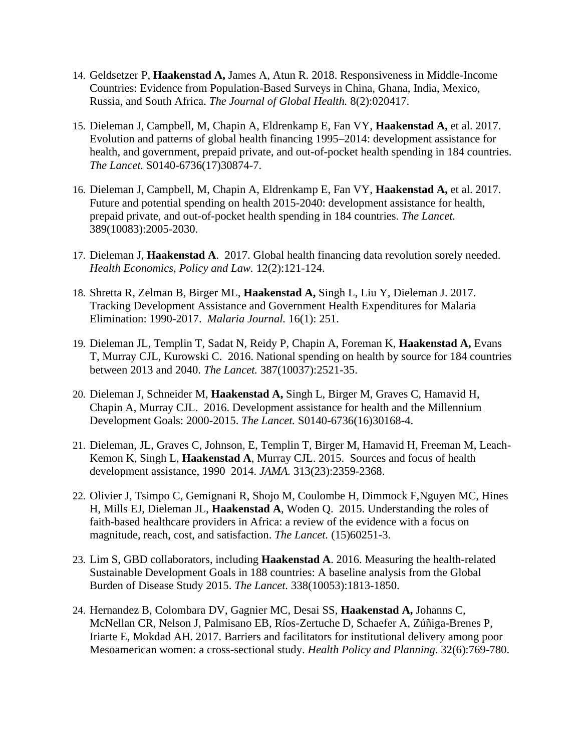- 14. Geldsetzer P, **Haakenstad A,** James A, Atun R. 2018. Responsiveness in Middle-Income Countries: Evidence from Population-Based Surveys in China, Ghana, India, Mexico, Russia, and South Africa. *The Journal of Global Health.* 8(2):020417.
- 15. Dieleman J, Campbell, M, Chapin A, Eldrenkamp E, Fan VY, **Haakenstad A,** et al. 2017. Evolution and patterns of global health financing 1995–2014: development assistance for health, and government, prepaid private, and out-of-pocket health spending in 184 countries. *The Lancet.* S0140-6736(17)30874-7.
- 16. Dieleman J, Campbell, M, Chapin A, Eldrenkamp E, Fan VY, **Haakenstad A,** et al. 2017. Future and potential spending on health 2015-2040: development assistance for health, prepaid private, and out-of-pocket health spending in 184 countries. *The Lancet.*  389(10083):2005-2030.
- 17. Dieleman J, **Haakenstad A**. 2017. Global health financing data revolution sorely needed. *Health Economics, Policy and Law.* 12(2):121-124.
- 18. Shretta R, Zelman B, Birger ML, **Haakenstad A,** Singh L, Liu Y, Dieleman J. 2017. Tracking Development Assistance and Government Health Expenditures for Malaria Elimination: 1990-2017. *Malaria Journal.* 16(1): 251.
- 19. Dieleman JL, Templin T, Sadat N, Reidy P, Chapin A, Foreman K, **Haakenstad A,** Evans T, Murray CJL, Kurowski C. 2016. National spending on health by source for 184 countries between 2013 and 2040. *The Lancet.* 387(10037):2521-35.
- 20. Dieleman J, Schneider M, **Haakenstad A,** Singh L, Birger M, Graves C, Hamavid H, Chapin A, Murray CJL. 2016. Development assistance for health and the Millennium Development Goals: 2000-2015. *The Lancet.* S0140-6736(16)30168-4.
- 21. Dieleman, JL, Graves C, Johnson, E, Templin T, Birger M, Hamavid H, Freeman M, Leach-Kemon K, Singh L, **Haakenstad A**, Murray CJL. 2015. Sources and focus of health development assistance, 1990–2014. *JAMA.* 313(23):2359-2368.
- 22. Olivier J, Tsimpo C, Gemignani R, Shojo M, Coulombe H, Dimmock F,Nguyen MC, Hines H, Mills EJ, Dieleman JL, **Haakenstad A**, Woden Q. 2015. Understanding the roles of faith-based healthcare providers in Africa: a review of the evidence with a focus on magnitude, reach, cost, and satisfaction. *The Lancet.* (15)60251-3.
- 23. Lim S, GBD collaborators, including **Haakenstad A**. 2016. Measuring the health-related Sustainable Development Goals in 188 countries: A baseline analysis from the Global Burden of Disease Study 2015. *The Lancet.* 338(10053):1813-1850.
- 24. Hernandez B, Colombara DV, Gagnier MC, Desai SS, **Haakenstad A,** Johanns C, McNellan CR, Nelson J, Palmisano EB, Ríos-Zertuche D, Schaefer A, Zúñiga-Brenes P, Iriarte E, Mokdad AH. 2017. Barriers and facilitators for institutional delivery among poor Mesoamerican women: a cross-sectional study. *Health Policy and Planning*. 32(6):769-780.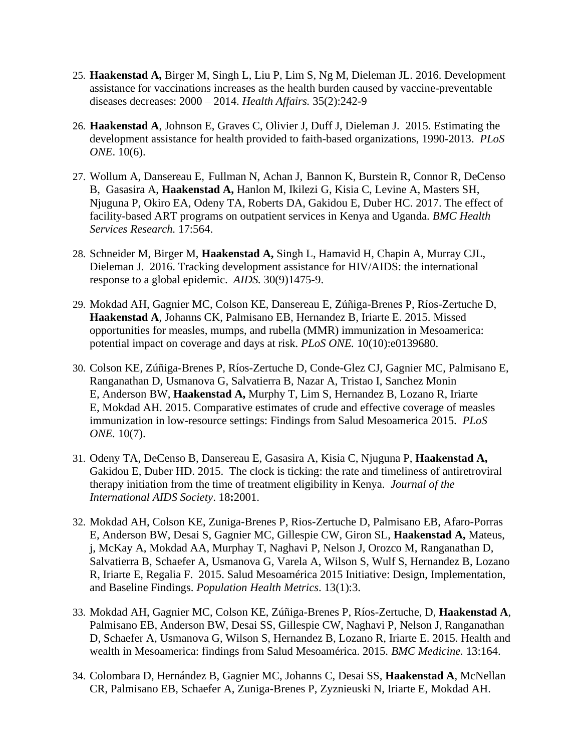- 25. **Haakenstad A,** Birger M, Singh L, Liu P, Lim S, Ng M, Dieleman JL*.* 2016. Development assistance for vaccinations increases as the health burden caused by vaccine-preventable diseases decreases: 2000 – 2014. *Health Affairs.* 35(2):242-9
- 26. **Haakenstad A**, Johnson E, Graves C, Olivier J, Duff J, Dieleman J. 2015. Estimating the development assistance for health provided to faith-based organizations, 1990-2013. *PLoS ONE*. 10(6).
- 27. Wollum A, Dansereau E, Fullman N, Achan J, Bannon K, Burstein R, Connor R, DeCenso B, Gasasira A, **Haakenstad A,** Hanlon M, Ikilezi G, Kisia C, Levine A, Masters SH, Njuguna P, Okiro EA, Odeny TA, Roberts DA, Gakidou E, Duber HC. 2017. The effect of facility-based ART programs on outpatient services in Kenya and Uganda. *BMC Health Services Research.* 17:564.
- 28. Schneider M, Birger M, **Haakenstad A,** Singh L, Hamavid H, Chapin A, Murray CJL, Dieleman J. 2016. Tracking development assistance for HIV/AIDS: the international response to a global epidemic. *AIDS.* 30(9)1475-9.
- 29. Mokdad AH, Gagnier MC, Colson KE, Dansereau E, Zúñiga-Brenes P, Ríos-Zertuche D, **Haakenstad A**, Johanns CK, Palmisano EB, Hernandez B, Iriarte E. 2015. Missed opportunities for measles, mumps, and rubella (MMR) immunization in Mesoamerica: potential impact on coverage and days at risk. *PLoS ONE.* 10(10):e0139680.
- 30. Colson KE, Zúñiga-Brenes P, Ríos-Zertuche D, Conde-Glez CJ, Gagnier MC, Palmisano E, Ranganathan D, Usmanova G, Salvatierra B, Nazar A, Tristao I, Sanchez Monin E, Anderson BW, **Haakenstad A,** Murphy T, Lim S, Hernandez B, Lozano R, Iriarte E, Mokdad AH. 2015. Comparative estimates of crude and effective coverage of measles immunization in low-resource settings: Findings from Salud Mesoamerica 2015. *PLoS ONE.* 10(7).
- 31. Odeny TA, DeCenso B, Dansereau E, Gasasira A, Kisia C, Njuguna P, **Haakenstad A,** Gakidou E, Duber HD. 2015. The clock is ticking: the rate and timeliness of antiretroviral therapy initiation from the time of treatment eligibility in Kenya. *Journal of the International AIDS Society*. 18**:**2001.
- 32. Mokdad AH, Colson KE, Zuniga-Brenes P, Rios-Zertuche D, Palmisano EB, Afaro-Porras E, Anderson BW, Desai S, Gagnier MC, Gillespie CW, Giron SL, **Haakenstad A,** Mateus, j, McKay A, Mokdad AA, Murphay T, Naghavi P, Nelson J, Orozco M, Ranganathan D, Salvatierra B, Schaefer A, Usmanova G, Varela A, Wilson S, Wulf S, Hernandez B, Lozano R, Iriarte E, Regalia F. 2015. Salud Mesoamérica 2015 Initiative: Design, Implementation, and Baseline Findings. *Population Health Metrics*. 13(1):3.
- 33. Mokdad AH, Gagnier MC, Colson KE, Zúñiga-Brenes P, Ríos-Zertuche, D, **Haakenstad A**, Palmisano EB, Anderson BW, Desai SS, Gillespie CW, Naghavi P, Nelson J, Ranganathan D, Schaefer A, Usmanova G, Wilson S, Hernandez B, Lozano R, Iriarte E. 2015. Health and wealth in Mesoamerica: findings from Salud Mesoamérica. 2015. *BMC Medicine.* 13:164.
- 34. Colombara D, Hernández B, Gagnier MC, Johanns C, Desai SS, **Haakenstad A**, McNellan CR, Palmisano EB, Schaefer A, Zuniga-Brenes P, Zyznieuski N, Iriarte E, Mokdad AH.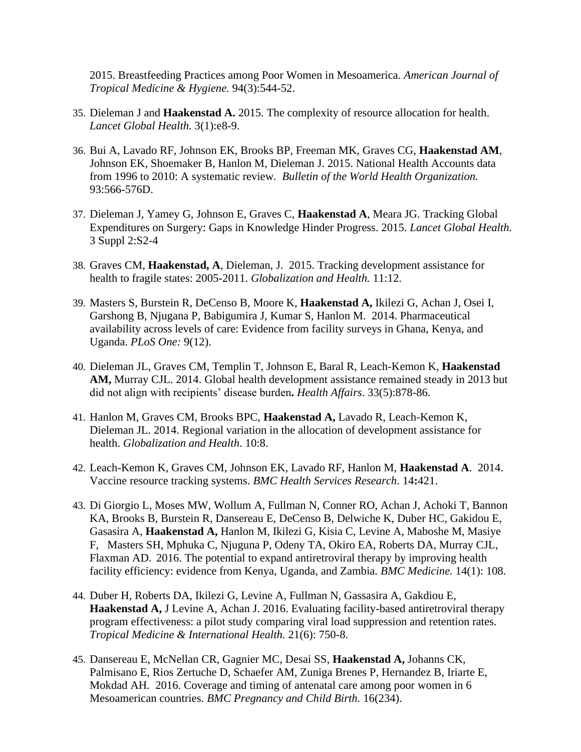2015. Breastfeeding Practices among Poor Women in Mesoamerica. *American Journal of Tropical Medicine & Hygiene.* 94(3):544-52.

- 35. Dieleman J and **Haakenstad A.** 2015. The complexity of resource allocation for health. *Lancet Global Health.* 3(1):e8-9.
- 36. Bui A, Lavado RF, Johnson EK, Brooks BP, Freeman MK, Graves CG, **Haakenstad AM**, Johnson EK, Shoemaker B, Hanlon M, Dieleman J. 2015. National Health Accounts data from 1996 to 2010: A systematic review. *Bulletin of the World Health Organization.*  93:566-576D.
- 37. Dieleman J, Yamey G, Johnson E, Graves C, **Haakenstad A**, Meara JG. Tracking Global Expenditures on Surgery: Gaps in Knowledge Hinder Progress. 2015. *Lancet Global Health.*  3 Suppl 2:S2-4
- 38. Graves CM, **Haakenstad, A**, Dieleman, J. 2015. Tracking development assistance for health to fragile states: 2005-2011. *Globalization and Health.* 11:12.
- 39. Masters S, Burstein R, DeCenso B, Moore K, **Haakenstad A,** Ikilezi G, Achan J, Osei I, Garshong B, Njugana P, Babigumira J, Kumar S, Hanlon M. 2014. Pharmaceutical availability across levels of care: Evidence from facility surveys in Ghana, Kenya, and Uganda. *PLoS One:* 9(12).
- 40. Dieleman JL, Graves CM, Templin T, Johnson E, Baral R, Leach-Kemon K, **Haakenstad AM,** Murray CJL. 2014. Global health development assistance remained steady in 2013 but did not align with recipients' disease burden**.** *Health Affairs*. 33(5):878-86.
- 41. Hanlon M, Graves CM, Brooks BPC, **Haakenstad A,** Lavado R, Leach-Kemon K, Dieleman JL. 2014. Regional variation in the allocation of development assistance for health. *Globalization and Health*. 10:8.
- 42. Leach-Kemon K, Graves CM, Johnson EK, Lavado RF, Hanlon M, **Haakenstad A**. 2014. Vaccine resource tracking systems. *BMC Health Services Research*. 14**:**421.
- 43. Di Giorgio L, Moses MW, Wollum A, Fullman N, Conner RO, Achan J, Achoki T, Bannon KA, Brooks B, Burstein R, Dansereau E, DeCenso B, Delwiche K, Duber HC, Gakidou E, Gasasira A, **Haakenstad A,** Hanlon M, Ikilezi G, Kisia C, Levine A, Maboshe M, Masiye F, Masters SH, Mphuka C, Njuguna P, Odeny TA, Okiro EA, Roberts DA, Murray CJL, Flaxman AD. 2016. The potential to expand antiretroviral therapy by improving health facility efficiency: evidence from Kenya, Uganda, and Zambia. *BMC Medicine.* 14(1): 108.
- 44. Duber H, Roberts DA, Ikilezi G, Levine A, Fullman N, Gassasira A, Gakdiou E, **Haakenstad A,** J Levine A, Achan J. 2016. Evaluating facility-based antiretroviral therapy program effectiveness: a pilot study comparing viral load suppression and retention rates. *Tropical Medicine & International Health.* 21(6): 750-8.
- 45. Dansereau E, McNellan CR, Gagnier MC, Desai SS, **Haakenstad A,** Johanns CK, Palmisano E, Rios Zertuche D, Schaefer AM, Zuniga Brenes P, Hernandez B, Iriarte E, Mokdad AH. 2016. Coverage and timing of antenatal care among poor women in 6 Mesoamerican countries. *BMC Pregnancy and Child Birth.* 16(234).